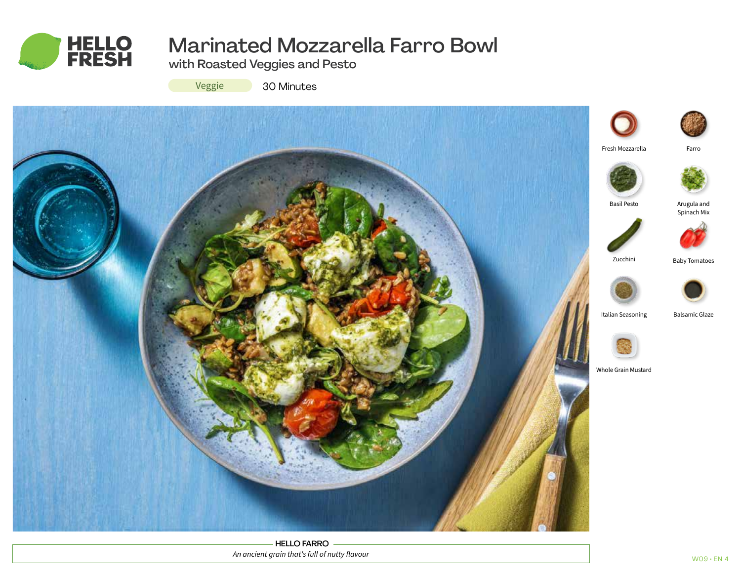

# Marinated Mozzarella Farro Bowl

with Roasted Veggies and Pesto

Veggie

30 Minutes



HELLO FARRO *An ancient grain that's full of nutty flavour*